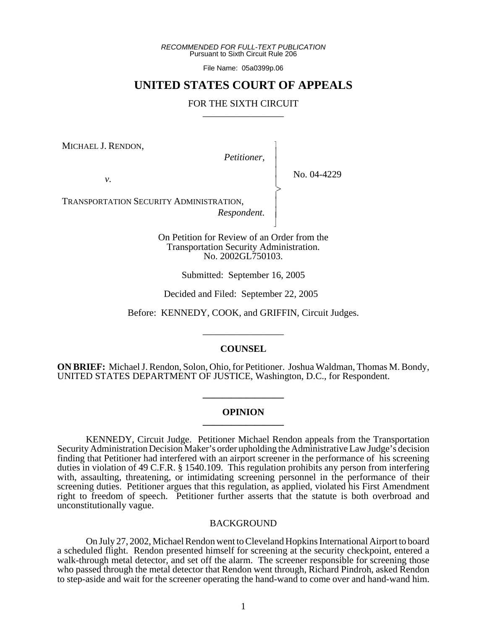*RECOMMENDED FOR FULL-TEXT PUBLICATION* Pursuant to Sixth Circuit Rule 206

File Name: 05a0399p.06

# **UNITED STATES COURT OF APPEALS**

# FOR THE SIXTH CIRCUIT

MICHAEL J. RENDON,

*Petitioner,*

 $\overline{\phantom{a}}$ - - - -  $\succ$ |<br>|<br>| - - N

*v.*

No. 04-4229

TRANSPORTATION SECURITY ADMINISTRATION,

*Respondent.*

On Petition for Review of an Order from the Transportation Security Administration. No. 2002GL750103.

Submitted: September 16, 2005

Decided and Filed: September 22, 2005

Before: KENNEDY, COOK, and GRIFFIN, Circuit Judges.

\_\_\_\_\_\_\_\_\_\_\_\_\_\_\_\_\_

## **COUNSEL**

**ON BRIEF:** Michael J. Rendon, Solon, Ohio, for Petitioner. Joshua Waldman, Thomas M. Bondy, UNITED STATES DEPARTMENT OF JUSTICE, Washington, D.C., for Respondent.

#### **OPINION \_\_\_\_\_\_\_\_\_\_\_\_\_\_\_\_\_**

**\_\_\_\_\_\_\_\_\_\_\_\_\_\_\_\_\_**

KENNEDY, Circuit Judge. Petitioner Michael Rendon appeals from the Transportation Security Administration Decision Maker's order upholding the Administrative Law Judge's decision finding that Petitioner had interfered with an airport screener in the performance of his screening duties in violation of 49 C.F.R. § 1540.109. This regulation prohibits any person from interfering with, assaulting, threatening, or intimidating screening personnel in the performance of their screening duties. Petitioner argues that this regulation, as applied, violated his First Amendment right to freedom of speech. Petitioner further asserts that the statute is both overbroad and unconstitutionally vague.

## BACKGROUND

On July 27, 2002, Michael Rendon went to Cleveland Hopkins International Airport to board a scheduled flight. Rendon presented himself for screening at the security checkpoint, entered a walk-through metal detector, and set off the alarm. The screener responsible for screening those who passed through the metal detector that Rendon went through, Richard Pindroh, asked Rendon to step-aside and wait for the screener operating the hand-wand to come over and hand-wand him.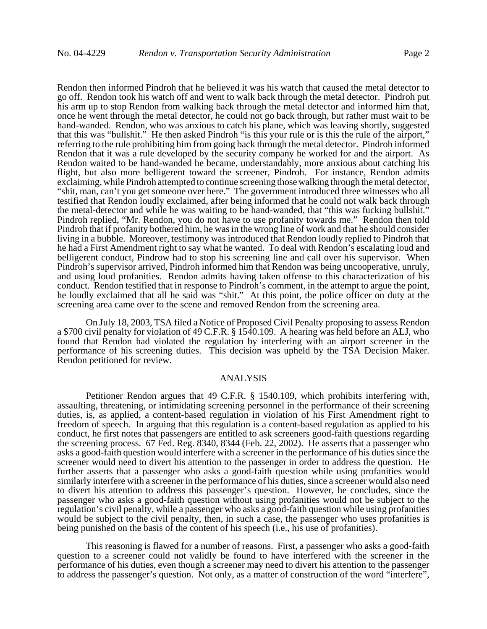Rendon then informed Pindroh that he believed it was his watch that caused the metal detector to go off. Rendon took his watch off and went to walk back through the metal detector. Pindroh put his arm up to stop Rendon from walking back through the metal detector and informed him that, once he went through the metal detector, he could not go back through, but rather must wait to be hand-wanded. Rendon, who was anxious to catch his plane, which was leaving shortly, suggested that this was "bullshit." He then asked Pindroh "is this your rule or is this the rule of the airport," referring to the rule prohibiting him from going back through the metal detector. Pindroh informed Rendon that it was a rule developed by the security company he worked for and the airport. As Rendon waited to be hand-wanded he became, understandably, more anxious about catching his flight, but also more belligerent toward the screener, Pindroh. For instance, Rendon admits exclaiming, while Pindroh attempted to continue screening those walking through the metal detector, "shit, man, can't you get someone over here." The government introduced three witnesses who all testified that Rendon loudly exclaimed, after being informed that he could not walk back through the metal-detector and while he was waiting to be hand-wanded, that "this was fucking bullshit." Pindroh replied, "Mr. Rendon, you do not have to use profanity towards me." Rendon then told Pindroh that if profanity bothered him, he was in the wrong line of work and that he should consider living in a bubble. Moreover, testimony was introduced that Rendon loudly replied to Pindroh that he had a First Amendment right to say what he wanted. To deal with Rendon's escalating loud and belligerent conduct, Pindrow had to stop his screening line and call over his supervisor. When Pindroh's supervisor arrived, Pindroh informed him that Rendon was being uncooperative, unruly, and using loud profanities. Rendon admits having taken offense to this characterization of his conduct. Rendon testified that in response to Pindroh's comment, in the attempt to argue the point, he loudly exclaimed that all he said was "shit." At this point, the police officer on duty at the screening area came over to the scene and removed Rendon from the screening area.

On July 18, 2003, TSA filed a Notice of Proposed Civil Penalty proposing to assess Rendon a \$700 civil penalty for violation of 49 C.F.R. § 1540.109. A hearing was held before an ALJ, who found that Rendon had violated the regulation by interfering with an airport screener in the performance of his screening duties. This decision was upheld by the TSA Decision Maker. Rendon petitioned for review.

#### ANALYSIS

Petitioner Rendon argues that 49 C.F.R. § 1540.109, which prohibits interfering with, assaulting, threatening, or intimidating screening personnel in the performance of their screening duties, is, as applied, a content-based regulation in violation of his First Amendment right to freedom of speech. In arguing that this regulation is a content-based regulation as applied to his conduct, he first notes that passengers are entitled to ask screeners good-faith questions regarding the screening process. 67 Fed. Reg. 8340, 8344 (Feb. 22, 2002). He asserts that a passenger who asks a good-faith question would interfere with a screener in the performance of his duties since the screener would need to divert his attention to the passenger in order to address the question. He further asserts that a passenger who asks a good-faith question while using profanities would similarly interfere with a screener in the performance of his duties, since a screener would also need to divert his attention to address this passenger's question. However, he concludes, since the passenger who asks a good-faith question without using profanities would not be subject to the regulation's civil penalty, while a passenger who asks a good-faith question while using profanities would be subject to the civil penalty, then, in such a case, the passenger who uses profanities is being punished on the basis of the content of his speech (i.e., his use of profanities).

This reasoning is flawed for a number of reasons. First, a passenger who asks a good-faith question to a screener could not validly be found to have interfered with the screener in the performance of his duties, even though a screener may need to divert his attention to the passenger to address the passenger's question. Not only, as a matter of construction of the word "interfere",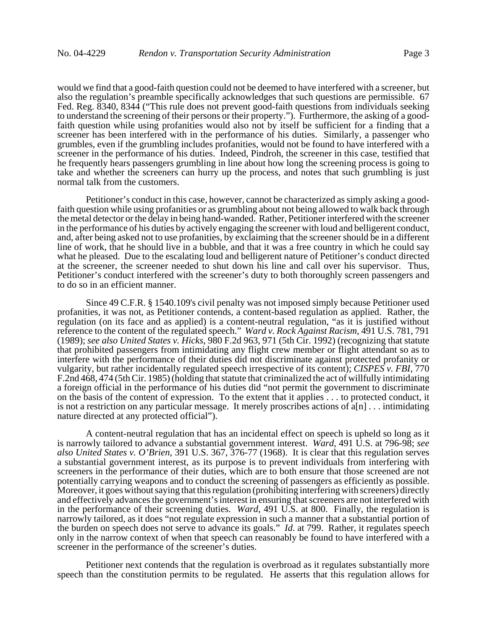would we find that a good-faith question could not be deemed to have interfered with a screener, but also the regulation's preamble specifically acknowledges that such questions are permissible. 67 Fed. Reg. 8340, 8344 ("This rule does not prevent good-faith questions from individuals seeking to understand the screening of their persons or their property."). Furthermore, the asking of a goodfaith question while using profanities would also not by itself be sufficient for a finding that a screener has been interfered with in the performance of his duties. Similarly, a passenger who grumbles, even if the grumbling includes profanities, would not be found to have interfered with a screener in the performance of his duties. Indeed, Pindroh, the screener in this case, testified that he frequently hears passengers grumbling in line about how long the screening process is going to take and whether the screeners can hurry up the process, and notes that such grumbling is just normal talk from the customers.

Petitioner's conduct in this case, however, cannot be characterized as simply asking a goodfaith question while using profanities or as grumbling about not being allowed to walk back through the metal detector or the delay in being hand-wanded. Rather, Petitioner interfered with the screener in the performance of his duties by actively engaging the screener with loud and belligerent conduct, and, after being asked not to use profanities, by exclaiming that the screener should be in a different line of work, that he should live in a bubble, and that it was a free country in which he could say what he pleased. Due to the escalating loud and belligerent nature of Petitioner's conduct directed at the screener, the screener needed to shut down his line and call over his supervisor. Thus, Petitioner's conduct interfered with the screener's duty to both thoroughly screen passengers and to do so in an efficient manner.

Since 49 C.F.R. § 1540.109's civil penalty was not imposed simply because Petitioner used profanities, it was not, as Petitioner contends, a content-based regulation as applied. Rather, the regulation (on its face and as applied) is a content-neutral regulation, "as it is justified without reference to the content of the regulated speech." *Ward v. Rock Against Racism*, 491 U.S. 781, 791 (1989); *see also United States v. Hicks*, 980 F.2d 963, 971 (5th Cir. 1992) (recognizing that statute that prohibited passengers from intimidating any flight crew member or flight attendant so as to interfere with the performance of their duties did not discriminate against protected profanity or vulgarity, but rather incidentally regulated speech irrespective of its content); *CISPES v. FBI*, 770 F.2nd 468, 474 (5th Cir. 1985) (holding that statute that criminalized the act of willfully intimidating a foreign official in the performance of his duties did "not permit the government to discriminate on the basis of the content of expression. To the extent that it applies . . . to protected conduct, it is not a restriction on any particular message. It merely proscribes actions of  $a[n]$ ... intimidating nature directed at any protected official").

A content-neutral regulation that has an incidental effect on speech is upheld so long as it is narrowly tailored to advance a substantial government interest. *Ward*, 491 U.S. at 796-98; *see also United States v. O'Brien*, 391 U.S. 367, 376-77 (1968). It is clear that this regulation serves a substantial government interest, as its purpose is to prevent individuals from interfering with screeners in the performance of their duties, which are to both ensure that those screened are not potentially carrying weapons and to conduct the screening of passengers as efficiently as possible. Moreover, it goes without saying that this regulation (prohibiting interfering with screeners) directly and effectively advances the government's interest in ensuring that screeners are not interfered with in the performance of their screening duties. *Ward*, 491 U.S. at 800. Finally, the regulation is narrowly tailored, as it does "not regulate expression in such a manner that a substantial portion of the burden on speech does not serve to advance its goals." *Id*. at 799. Rather, it regulates speech only in the narrow context of when that speech can reasonably be found to have interfered with a screener in the performance of the screener's duties.

Petitioner next contends that the regulation is overbroad as it regulates substantially more speech than the constitution permits to be regulated. He asserts that this regulation allows for